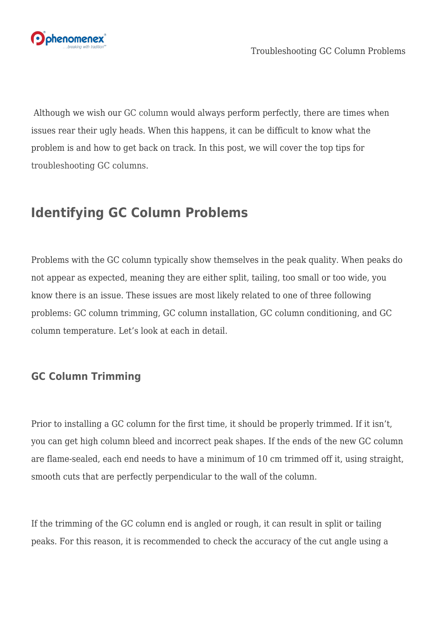

 Although we wish our [GC column](https://www.phenomenex.com/gc-column?utm_campaign=blog%20articles&utm_source=worpress&utm_medium=social&utm_term=brightedge%20content&utm_content=gc-troubleshooting) would always perform perfectly, there are times when issues rear their ugly heads. When this happens, it can be difficult to know what the problem is and how to get back on track. In this post, we will cover the top tips for [troubleshooting GC columns.](https://www.phenomenex.com/info/ContactInformation?requestType=form~2013gcguidetstechpage&newReg=false&utm_campaign=blog%20articles&utm_source=worpress&utm_medium=social&utm_term=brightedge%20content&utm_content=gc-troubleshooting)

# **Identifying GC Column Problems**

Problems with the GC column typically show themselves in the peak quality. When peaks do not appear as expected, meaning they are either split, tailing, too small or too wide, you know there is an issue. These issues are most likely related to one of three following problems: GC column trimming, GC column installation, GC column conditioning, and GC column temperature. Let's look at each in detail.

### **GC Column Trimming**

Prior to installing a GC column for the first time, it should be properly trimmed. If it isn't, you can get high column bleed and incorrect peak shapes. If the ends of the new GC column are flame-sealed, each end needs to have a minimum of 10 cm trimmed off it, using straight, smooth cuts that are perfectly perpendicular to the wall of the column.

If the trimming of the GC column end is angled or rough, it can result in split or tailing peaks. For this reason, it is recommended to check the accuracy of the cut angle using a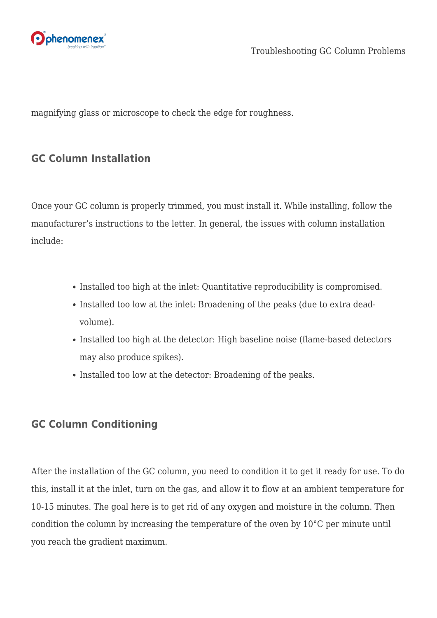

magnifying glass or microscope to check the edge for roughness.

#### **GC Column Installation**

Once your GC column is properly trimmed, you must install it. While installing, follow the manufacturer's instructions to the letter. In general, the issues with column installation include:

- Installed too high at the inlet: Quantitative reproducibility is compromised.
- Installed too low at the inlet: Broadening of the peaks (due to extra deadvolume).
- Installed too high at the detector: High baseline noise (flame-based detectors may also produce spikes).
- Installed too low at the detector: Broadening of the peaks.

#### **GC Column Conditioning**

After the installation of the GC column, you need to condition it to get it ready for use. To do this, install it at the inlet, turn on the gas, and allow it to flow at an ambient temperature for 10-15 minutes. The goal here is to get rid of any oxygen and moisture in the column. Then condition the column by increasing the temperature of the oven by 10°C per minute until you reach the gradient maximum.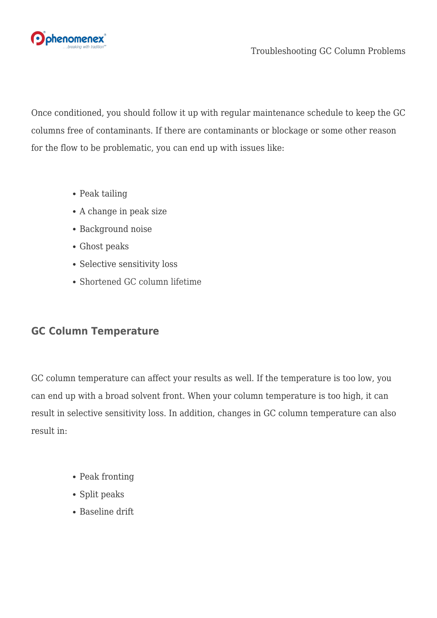

Once conditioned, you should follow it up with regular maintenance schedule to keep the GC columns free of contaminants. If there are contaminants or blockage or some other reason for the flow to be problematic, you can end up with issues like:

- Peak tailing
- A change in peak size
- Background noise
- Ghost peaks
- Selective sensitivity loss
- [Shortened GC column lifetime](https://www.phenomenex.com/ViewDocument?id=tn-2017%3A+a+simple+guide+to+improving+column+lifetime&utm_campaign=blog%20articles&utm_source=worpress&utm_medium=social&utm_term=brightedge%20content&utm_content=gc-troubleshooting)

## **GC Column Temperature**

GC column temperature can affect your results as well. If the temperature is too low, you can end up with a broad solvent front. When your column temperature is too high, it can result in selective sensitivity loss. In addition, changes in GC column temperature can also result in:

- Peak fronting
- Split peaks
- Baseline drift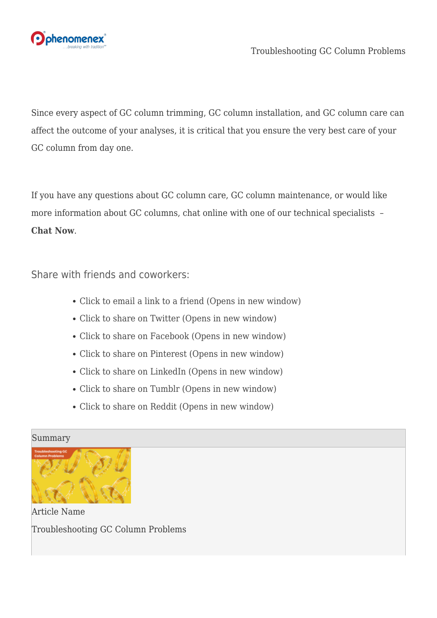

Since every aspect of GC column trimming, GC column installation, and GC column care can affect the outcome of your analyses, it is critical that you ensure the very best care of your GC column from day one.

If you have any questions about GC column care, GC column maintenance, or would like more information about GC columns, chat online with one of our technical specialists – **[Chat Now](https://discover.phenomenex.com/chat?utm_campaign=blog%20articles&utm_source=worpress&utm_medium=social&utm_term=brightedge%20content&utm_content=gc-troubleshooting)**.

Share with friends and coworkers:

- [Click to email a link to a friend \(Opens in new window\)](mailto:?subject=%5BShared%20Post%5D%20Troubleshooting%20GC%20Column%20Problems&body=https%3A%2F%2Fphenomenex.blog%2F2022%2F06%2F02%2Ftroubleshooting-gc-column-problems%2F&share=email)
- [Click to share on Twitter \(Opens in new window\)](https://phenomenex.blog/2022/06/02/troubleshooting-gc-column-problems/?share=twitter)
- [Click to share on Facebook \(Opens in new window\)](https://phenomenex.blog/2022/06/02/troubleshooting-gc-column-problems/?share=facebook)
- [Click to share on Pinterest \(Opens in new window\)](https://phenomenex.blog/2022/06/02/troubleshooting-gc-column-problems/?share=pinterest)
- [Click to share on LinkedIn \(Opens in new window\)](https://phenomenex.blog/2022/06/02/troubleshooting-gc-column-problems/?share=linkedin)
- [Click to share on Tumblr \(Opens in new window\)](https://phenomenex.blog/2022/06/02/troubleshooting-gc-column-problems/?share=tumblr)
- [Click to share on Reddit \(Opens in new window\)](https://phenomenex.blog/2022/06/02/troubleshooting-gc-column-problems/?share=reddit)

#### Summary



Article Name Troubleshooting GC Column Problems